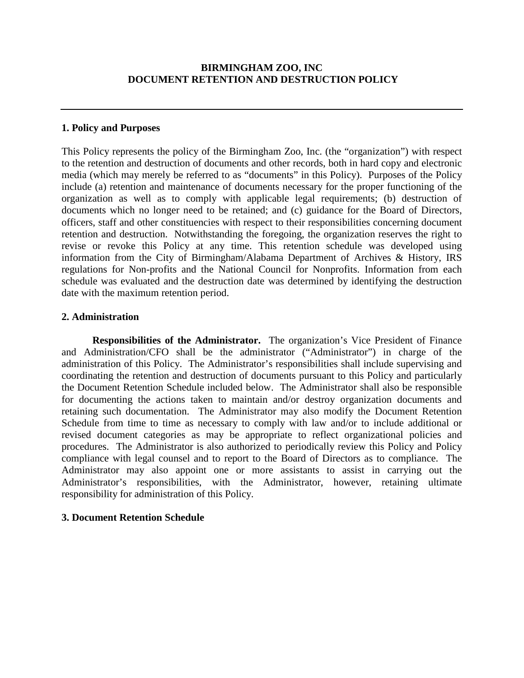## **1. Policy and Purposes**

This Policy represents the policy of the Birmingham Zoo, Inc. (the "organization") with respect to the retention and destruction of documents and other records, both in hard copy and electronic media (which may merely be referred to as "documents" in this Policy). Purposes of the Policy include (a) retention and maintenance of documents necessary for the proper functioning of the organization as well as to comply with applicable legal requirements; (b) destruction of documents which no longer need to be retained; and (c) guidance for the Board of Directors, officers, staff and other constituencies with respect to their responsibilities concerning document retention and destruction. Notwithstanding the foregoing, the organization reserves the right to revise or revoke this Policy at any time. This retention schedule was developed using information from the City of Birmingham/Alabama Department of Archives & History, IRS regulations for Non-profits and the National Council for Nonprofits. Information from each schedule was evaluated and the destruction date was determined by identifying the destruction date with the maximum retention period.

## **2. Administration**

**Responsibilities of the Administrator.** The organization's Vice President of Finance and Administration/CFO shall be the administrator ("Administrator") in charge of the administration of this Policy. The Administrator's responsibilities shall include supervising and coordinating the retention and destruction of documents pursuant to this Policy and particularly the Document Retention Schedule included below. The Administrator shall also be responsible for documenting the actions taken to maintain and/or destroy organization documents and retaining such documentation. The Administrator may also modify the Document Retention Schedule from time to time as necessary to comply with law and/or to include additional or revised document categories as may be appropriate to reflect organizational policies and procedures. The Administrator is also authorized to periodically review this Policy and Policy compliance with legal counsel and to report to the Board of Directors as to compliance. The Administrator may also appoint one or more assistants to assist in carrying out the Administrator's responsibilities, with the Administrator, however, retaining ultimate responsibility for administration of this Policy.

## **3. Document Retention Schedule**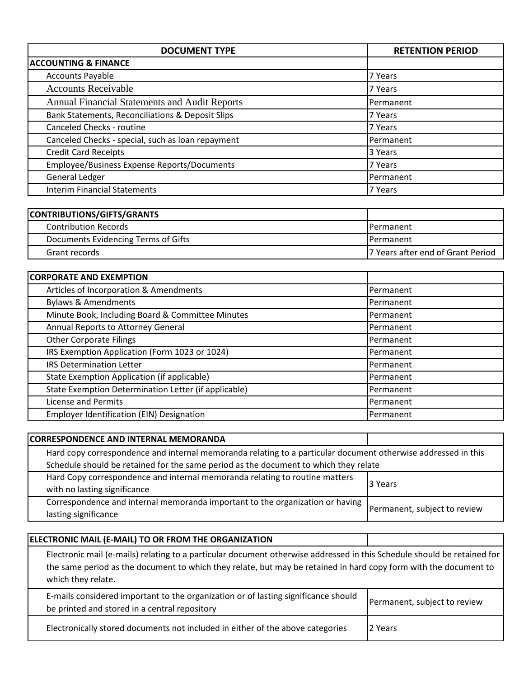| <b>DOCUMENT TYPE</b>                                 | <b>RETENTION PERIOD</b> |
|------------------------------------------------------|-------------------------|
| <b>ACCOUNTING &amp; FINANCE</b>                      |                         |
| <b>Accounts Payable</b>                              | 7 Years                 |
| <b>Accounts Receivable</b>                           | 7 Years                 |
| <b>Annual Financial Statements and Audit Reports</b> | Permanent               |
| Bank Statements, Reconciliations & Deposit Slips     | 7 Years                 |
| Canceled Checks - routine                            | 7 Years                 |
| Canceled Checks - special, such as loan repayment    | Permanent               |
| <b>Credit Card Receipts</b>                          | 3 Years                 |
| Employee/Business Expense Reports/Documents          | 7 Years                 |
| General Ledger                                       | Permanent               |
| <b>Interim Financial Statements</b>                  | 7 Years                 |

| CONTRIBUTIONS/GIFTS/GRANTS          |                                   |
|-------------------------------------|-----------------------------------|
| <b>Contribution Records</b>         | <b>I</b> Permanent                |
| Documents Evidencing Terms of Gifts | <b>IPermanent</b>                 |
| Grant records                       | 7 Years after end of Grant Period |

| <b>CORPORATE AND EXEMPTION</b>                       |                   |
|------------------------------------------------------|-------------------|
| Articles of Incorporation & Amendments               | <b>IPermanent</b> |
| <b>Bylaws &amp; Amendments</b>                       | Permanent         |
| Minute Book, Including Board & Committee Minutes     | Permanent         |
| Annual Reports to Attorney General                   | Permanent         |
| <b>Other Corporate Filings</b>                       | Permanent         |
| IRS Exemption Application (Form 1023 or 1024)        | Permanent         |
| <b>IRS Determination Letter</b>                      | <b>IPermanent</b> |
| State Exemption Application (if applicable)          | <b>IPermanent</b> |
| State Exemption Determination Letter (if applicable) | Permanent         |
| License and Permits                                  | Permanent         |
| Employer Identification (EIN) Designation            | Permanent         |

| <b>CORRESPONDENCE AND INTERNAL MEMORANDA</b>                                                                  |                              |  |
|---------------------------------------------------------------------------------------------------------------|------------------------------|--|
| Hard copy correspondence and internal memoranda relating to a particular document otherwise addressed in this |                              |  |
| Schedule should be retained for the same period as the document to which they relate                          |                              |  |
| Hard Copy correspondence and internal memoranda relating to routine matters                                   |                              |  |
| with no lasting significance                                                                                  | 13 Years                     |  |
| Correspondence and internal memoranda important to the organization or having                                 | Permanent, subject to review |  |
| lasting significance                                                                                          |                              |  |

| ELECTRONIC MAIL (E-MAIL) TO OR FROM THE ORGANIZATION                                                                                                                                                                                                              |                              |
|-------------------------------------------------------------------------------------------------------------------------------------------------------------------------------------------------------------------------------------------------------------------|------------------------------|
| Electronic mail (e-mails) relating to a particular document otherwise addressed in this Schedule should be retained for<br>the same period as the document to which they relate, but may be retained in hard copy form with the document to<br>which they relate. |                              |
| E-mails considered important to the organization or of lasting significance should<br>be printed and stored in a central repository                                                                                                                               | Permanent, subject to review |
| Electronically stored documents not included in either of the above categories                                                                                                                                                                                    | 2 Years                      |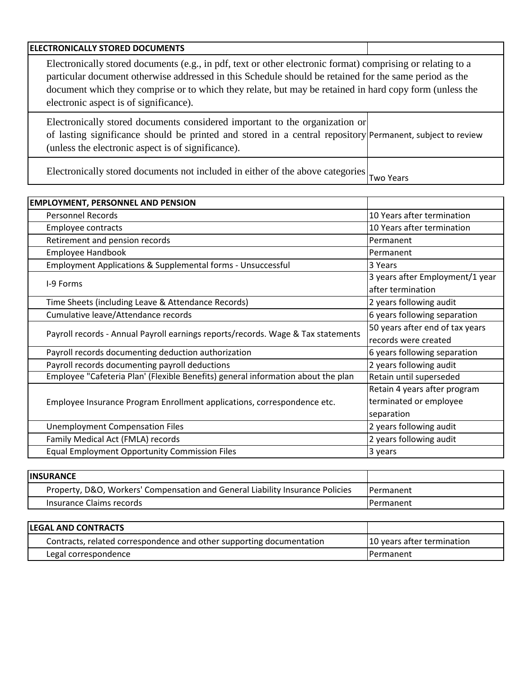| <b>ELECTRONICALLY STORED DOCUMENTS</b>                                                                      |  |  |
|-------------------------------------------------------------------------------------------------------------|--|--|
| Electronically stored documents (e.g., in pdf, text or other electronic format) comprising or relating to a |  |  |
| particular document otherwise addressed in this Schedule should be retained for the same period as the      |  |  |
| document which they comprise or to which they relate, but may be retained in hard copy form (unless the     |  |  |
| electronic aspect is of significance).                                                                      |  |  |
| Electronically stand degrees considered important to the examination on                                     |  |  |

Electronically stored documents considered important to the organization or of lasting significance should be printed and stored in a central repository Permanent, subject to review (unless the electronic aspect is of significance).

Electronically stored documents not included in either of the above categories  $\vert_{\text{Two Years}}$ 

| <b>EMPLOYMENT, PERSONNEL AND PENSION</b>                                         |                                                      |
|----------------------------------------------------------------------------------|------------------------------------------------------|
| <b>Personnel Records</b>                                                         | 10 Years after termination                           |
| <b>Employee contracts</b>                                                        | 10 Years after termination                           |
| Retirement and pension records                                                   | Permanent                                            |
| Employee Handbook                                                                | Permanent                                            |
| Employment Applications & Supplemental forms - Unsuccessful                      | 3 Years                                              |
| I-9 Forms                                                                        | 3 years after Employment/1 year<br>after termination |
| Time Sheets (including Leave & Attendance Records)                               | 2 years following audit                              |
| Cumulative leave/Attendance records                                              | 6 years following separation                         |
| Payroll records - Annual Payroll earnings reports/records. Wage & Tax statements | 50 years after end of tax years                      |
|                                                                                  | records were created                                 |
| Payroll records documenting deduction authorization                              | 6 years following separation                         |
| Payroll records documenting payroll deductions                                   | 2 years following audit                              |
| Employee "Cafeteria Plan' (Flexible Benefits) general information about the plan | Retain until superseded                              |
|                                                                                  | Retain 4 years after program                         |
| Employee Insurance Program Enrollment applications, correspondence etc.          | terminated or employee                               |
|                                                                                  | separation                                           |
| <b>Unemployment Compensation Files</b>                                           | 2 years following audit                              |
| Family Medical Act (FMLA) records                                                | 2 years following audit                              |
| <b>Equal Employment Opportunity Commission Files</b>                             | 3 years                                              |

| <b>IINSURANCE</b>                                                             |                   |
|-------------------------------------------------------------------------------|-------------------|
| Property, D&O, Workers' Compensation and General Liability Insurance Policies | <b>IPermanent</b> |
| Insurance Claims records                                                      | <b>IPermanent</b> |

| <b>ILEGAL AND CONTRACTS</b>                                          |                            |
|----------------------------------------------------------------------|----------------------------|
| Contracts, related correspondence and other supporting documentation | 10 years after termination |
| Legal correspondence                                                 | <b>IPermanent</b>          |